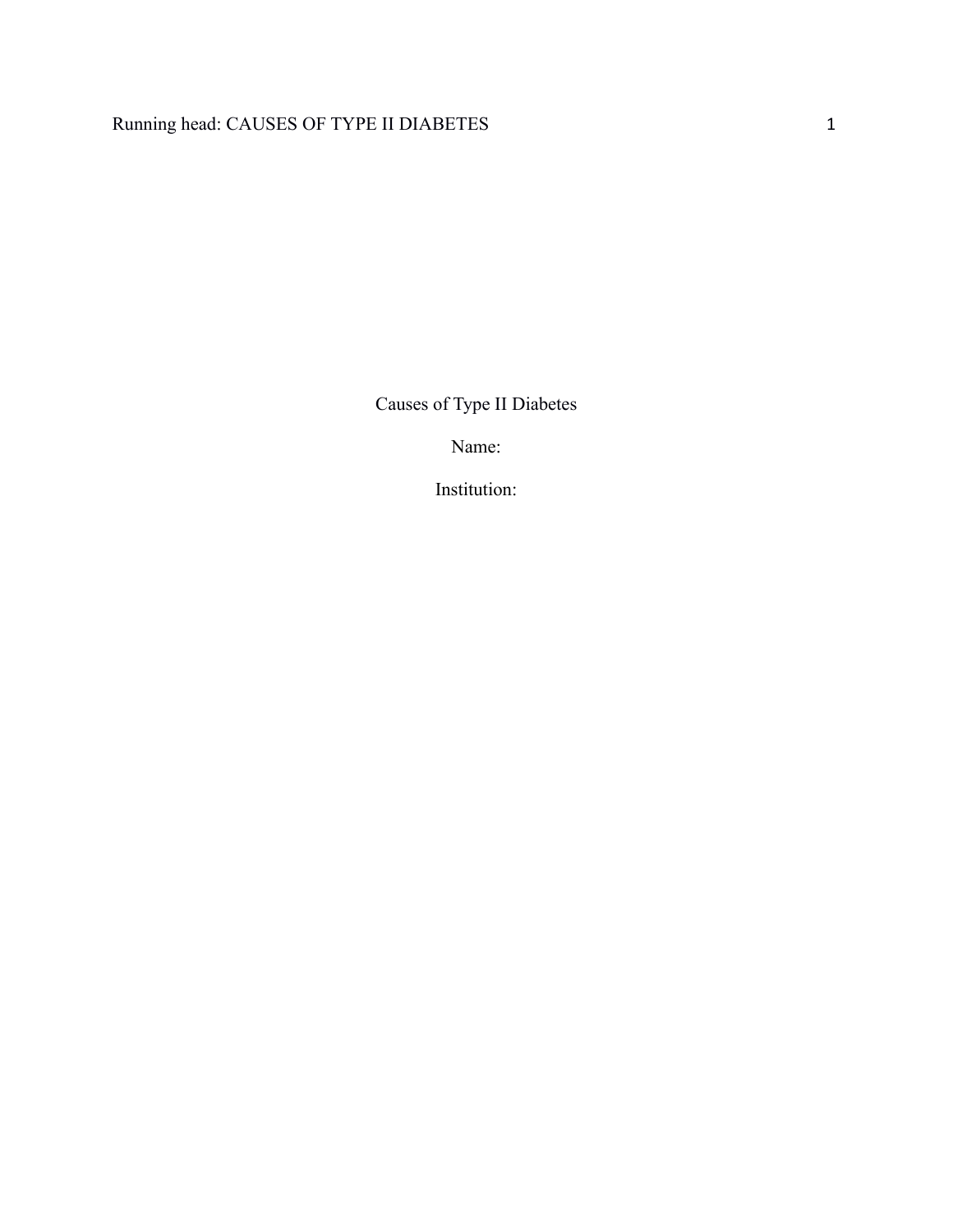# Running head: CAUSES OF TYPE II DIABETES 1

Causes of Type II Diabetes

Name:

Institution: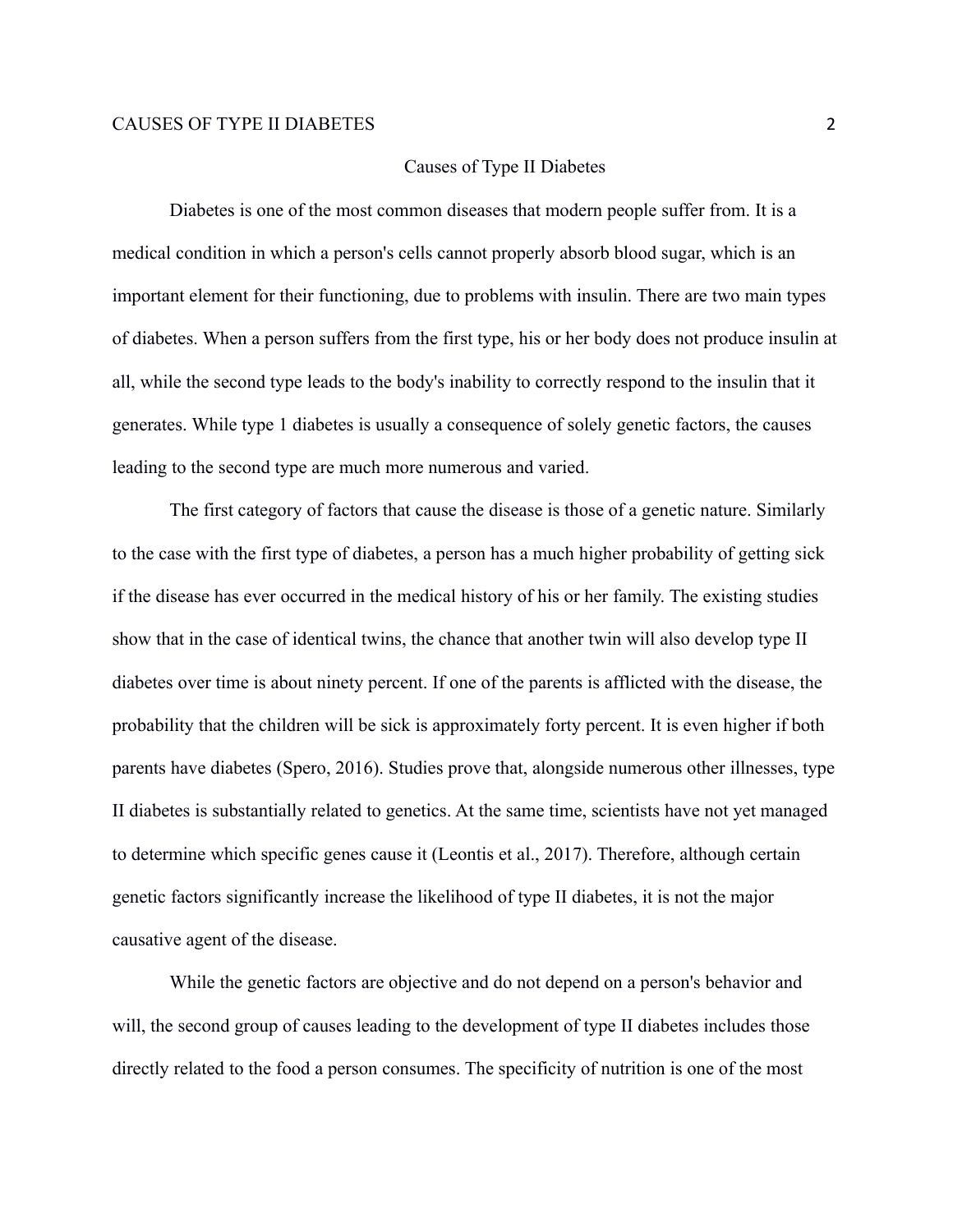#### Causes of Type II Diabetes

Diabetes is one of the most common diseases that modern people suffer from. It is a medical condition in which a person's cells cannot properly absorb blood sugar, which is an important element for their functioning, due to problems with insulin. There are two main types of diabetes. When a person suffers from the first type, his or her body does not produce insulin at all, while the second type leads to the body's inability to correctly respond to the insulin that it generates. While type 1 diabetes is usually a consequence of solely genetic factors, the causes leading to the second type are much more numerous and varied.

The first category of factors that cause the disease is those of a genetic nature. Similarly to the case with the first type of diabetes, a person has a much higher probability of getting sick if the disease has ever occurred in the medical history of his or her family. The existing studies show that in the case of identical twins, the chance that another twin will also develop type II diabetes over time is about ninety percent. If one of the parents is afflicted with the disease, the probability that the children will be sick is approximately forty percent. It is even higher if both parents have diabetes (Spero, 2016). Studies prove that, alongside numerous other illnesses, type II diabetes is substantially related to genetics. At the same time, scientists have not yet managed to determine which specific genes cause it (Leontis et al., 2017). Therefore, although certain genetic factors significantly increase the likelihood of type II diabetes, it is not the major causative agent of the disease.

While the genetic factors are objective and do not depend on a person's behavior and will, the second group of causes leading to the development of type II diabetes includes those directly related to the food a person consumes. The specificity of nutrition is one of the most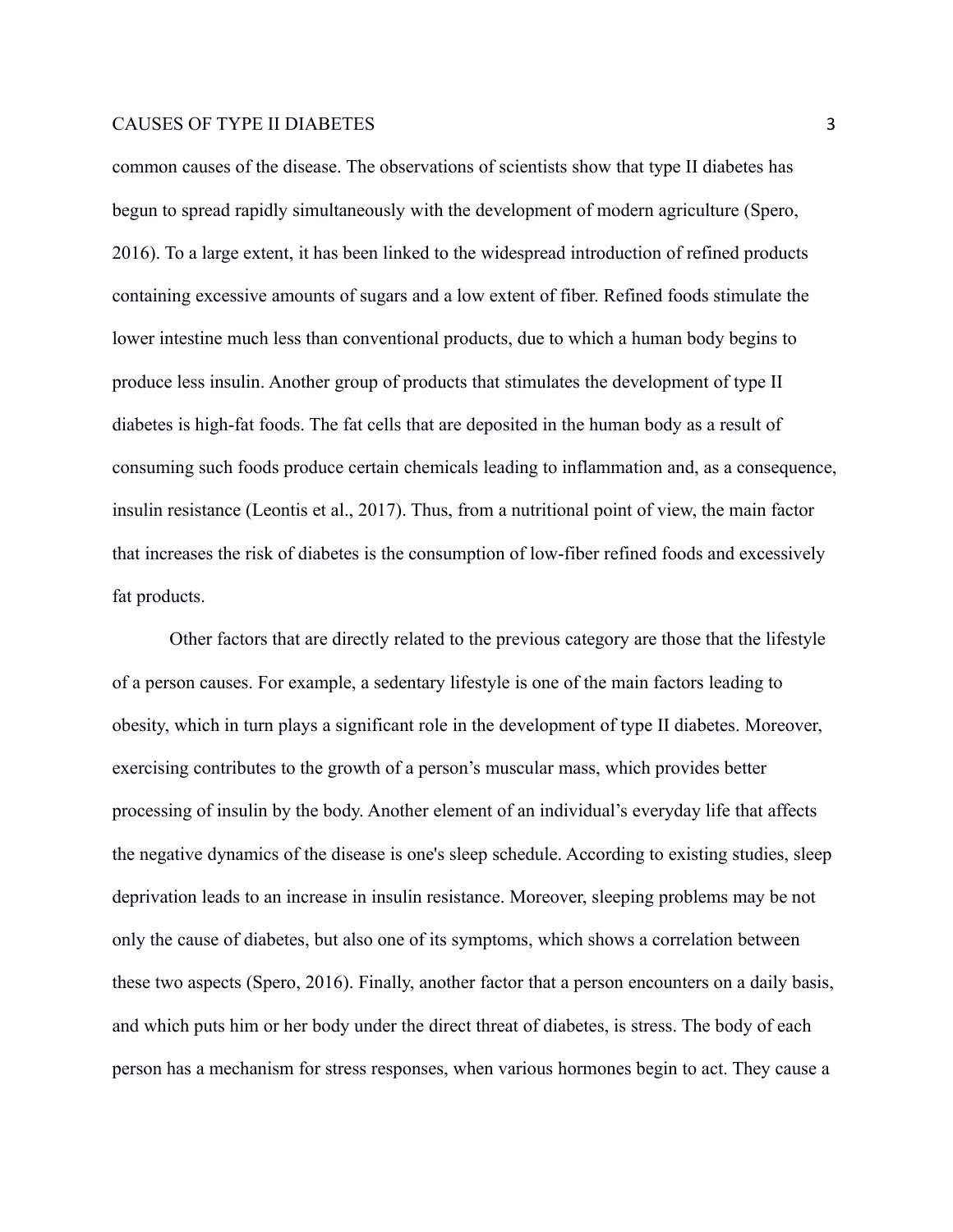common causes of the disease. The observations of scientists show that type II diabetes has begun to spread rapidly simultaneously with the development of modern agriculture (Spero, 2016). To a large extent, it has been linked to the widespread introduction of refined products containing excessive amounts of sugars and a low extent of fiber. Refined foods stimulate the lower intestine much less than conventional products, due to which a human body begins to produce less insulin. Another group of products that stimulates the development of type II diabetes is high-fat foods. The fat cells that are deposited in the human body as a result of consuming such foods produce certain chemicals leading to inflammation and, as a consequence, insulin resistance (Leontis et al., 2017). Thus, from a nutritional point of view, the main factor that increases the risk of diabetes is the consumption of low-fiber refined foods and excessively fat products.

Other factors that are directly related to the previous category are those that the lifestyle of a person causes. For example, a sedentary lifestyle is one of the main factors leading to obesity, which in turn plays a significant role in the development of type II diabetes. Moreover, exercising contributes to the growth of a person's muscular mass, which provides better processing of insulin by the body. Another element of an individual's everyday life that affects the negative dynamics of the disease is one's sleep schedule. According to existing studies, sleep deprivation leads to an increase in insulin resistance. Moreover, sleeping problems may be not only the cause of diabetes, but also one of its symptoms, which shows a correlation between these two aspects (Spero, 2016). Finally, another factor that a person encounters on a daily basis, and which puts him or her body under the direct threat of diabetes, is stress. The body of each person has a mechanism for stress responses, when various hormones begin to act. They cause a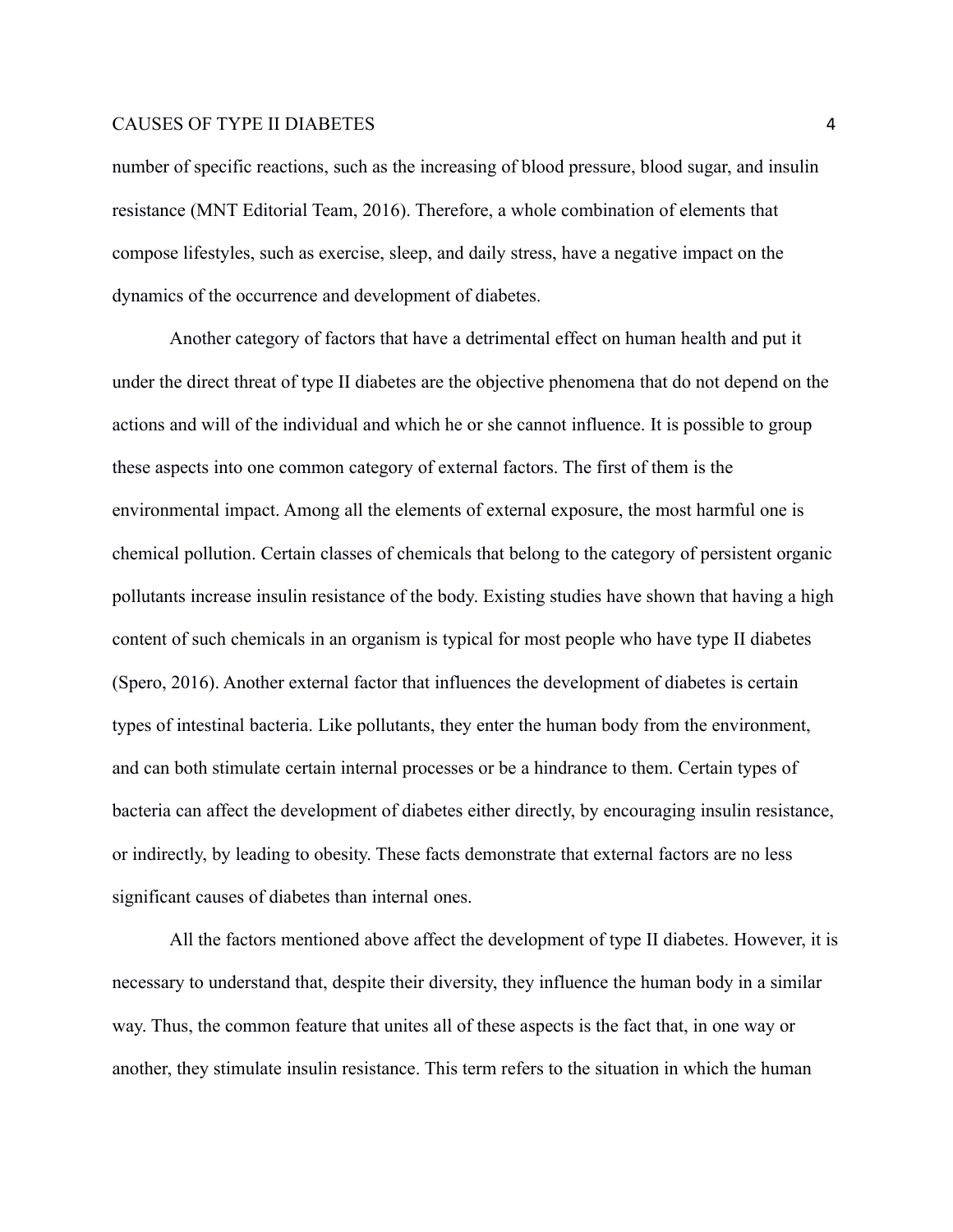number of specific reactions, such as the increasing of blood pressure, blood sugar, and insulin resistance (MNT Editorial Team, 2016). Therefore, a whole combination of elements that compose lifestyles, such as exercise, sleep, and daily stress, have a negative impact on the dynamics of the occurrence and development of diabetes.

Another category of factors that have a detrimental effect on human health and put it under the direct threat of type II diabetes are the objective phenomena that do not depend on the actions and will of the individual and which he or she cannot influence. It is possible to group these aspects into one common category of external factors. The first of them is the environmental impact. Among all the elements of external exposure, the most harmful one is chemical pollution. Certain classes of chemicals that belong to the category of persistent organic pollutants increase insulin resistance of the body. Existing studies have shown that having a high content of such chemicals in an organism is typical for most people who have type II diabetes (Spero, 2016). Another external factor that influences the development of diabetes is certain types of intestinal bacteria. Like pollutants, they enter the human body from the environment, and can both stimulate certain internal processes or be a hindrance to them. Certain types of bacteria can affect the development of diabetes either directly, by encouraging insulin resistance, or indirectly, by leading to obesity. These facts demonstrate that external factors are no less significant causes of diabetes than internal ones.

All the factors mentioned above affect the development of type II diabetes. However, it is necessary to understand that, despite their diversity, they influence the human body in a similar way. Thus, the common feature that unites all of these aspects is the fact that, in one way or another, they stimulate insulin resistance. This term refers to the situation in which the human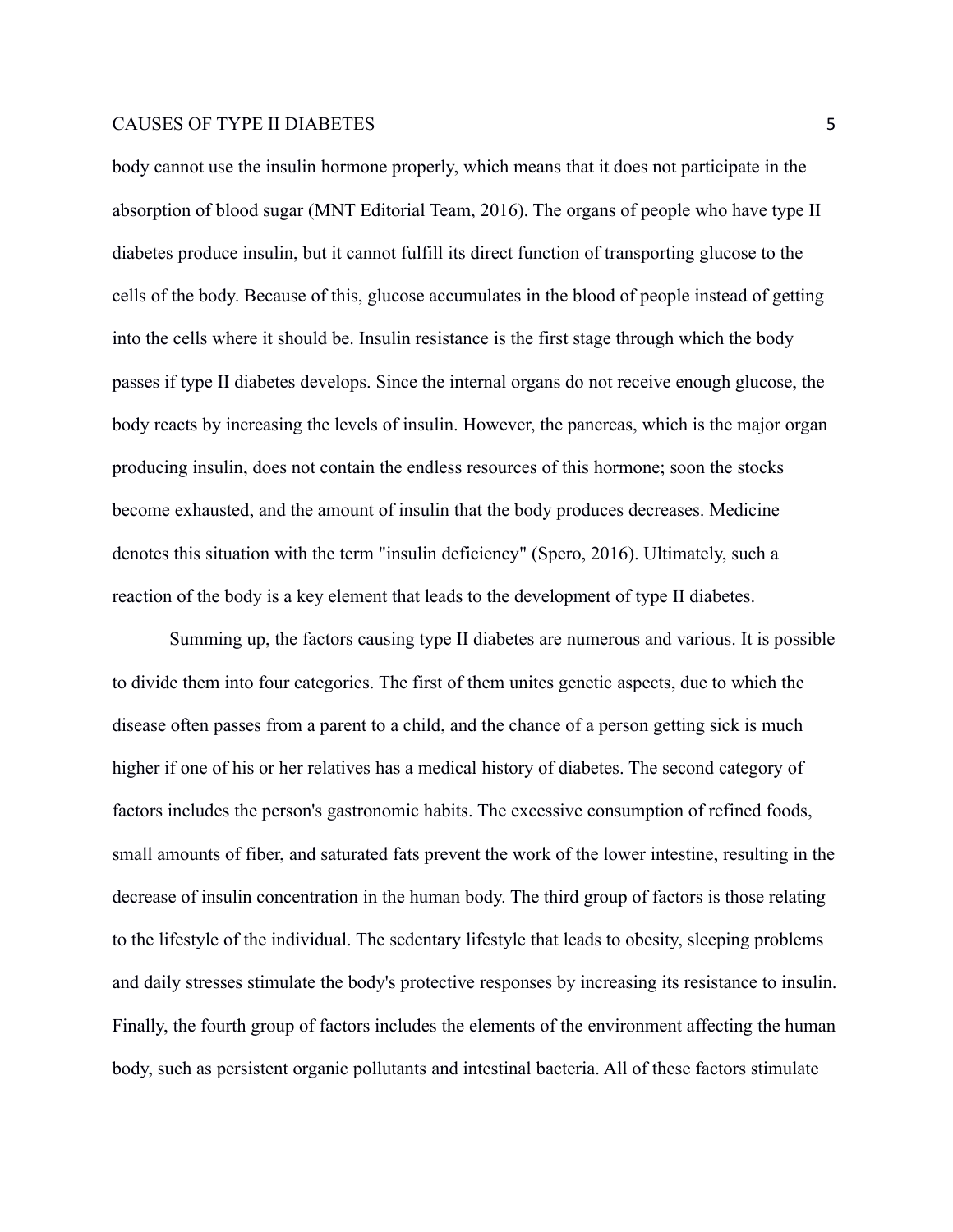body cannot use the insulin hormone properly, which means that it does not participate in the absorption of blood sugar (MNT Editorial Team, 2016). The organs of people who have type II diabetes produce insulin, but it cannot fulfill its direct function of transporting glucose to the cells of the body. Because of this, glucose accumulates in the blood of people instead of getting into the cells where it should be. Insulin resistance is the first stage through which the body passes if type II diabetes develops. Since the internal organs do not receive enough glucose, the body reacts by increasing the levels of insulin. However, the pancreas, which is the major organ producing insulin, does not contain the endless resources of this hormone; soon the stocks become exhausted, and the amount of insulin that the body produces decreases. Medicine denotes this situation with the term "insulin deficiency" (Spero, 2016). Ultimately, such a reaction of the body is a key element that leads to the development of type II diabetes.

Summing up, the factors causing type II diabetes are numerous and various. It is possible to divide them into four categories. The first of them unites genetic aspects, due to which the disease often passes from a parent to a child, and the chance of a person getting sick is much higher if one of his or her relatives has a medical history of diabetes. The second category of factors includes the person's gastronomic habits. The excessive consumption of refined foods, small amounts of fiber, and saturated fats prevent the work of the lower intestine, resulting in the decrease of insulin concentration in the human body. The third group of factors is those relating to the lifestyle of the individual. The sedentary lifestyle that leads to obesity, sleeping problems and daily stresses stimulate the body's protective responses by increasing its resistance to insulin. Finally, the fourth group of factors includes the elements of the environment affecting the human body, such as persistent organic pollutants and intestinal bacteria. All of these factors stimulate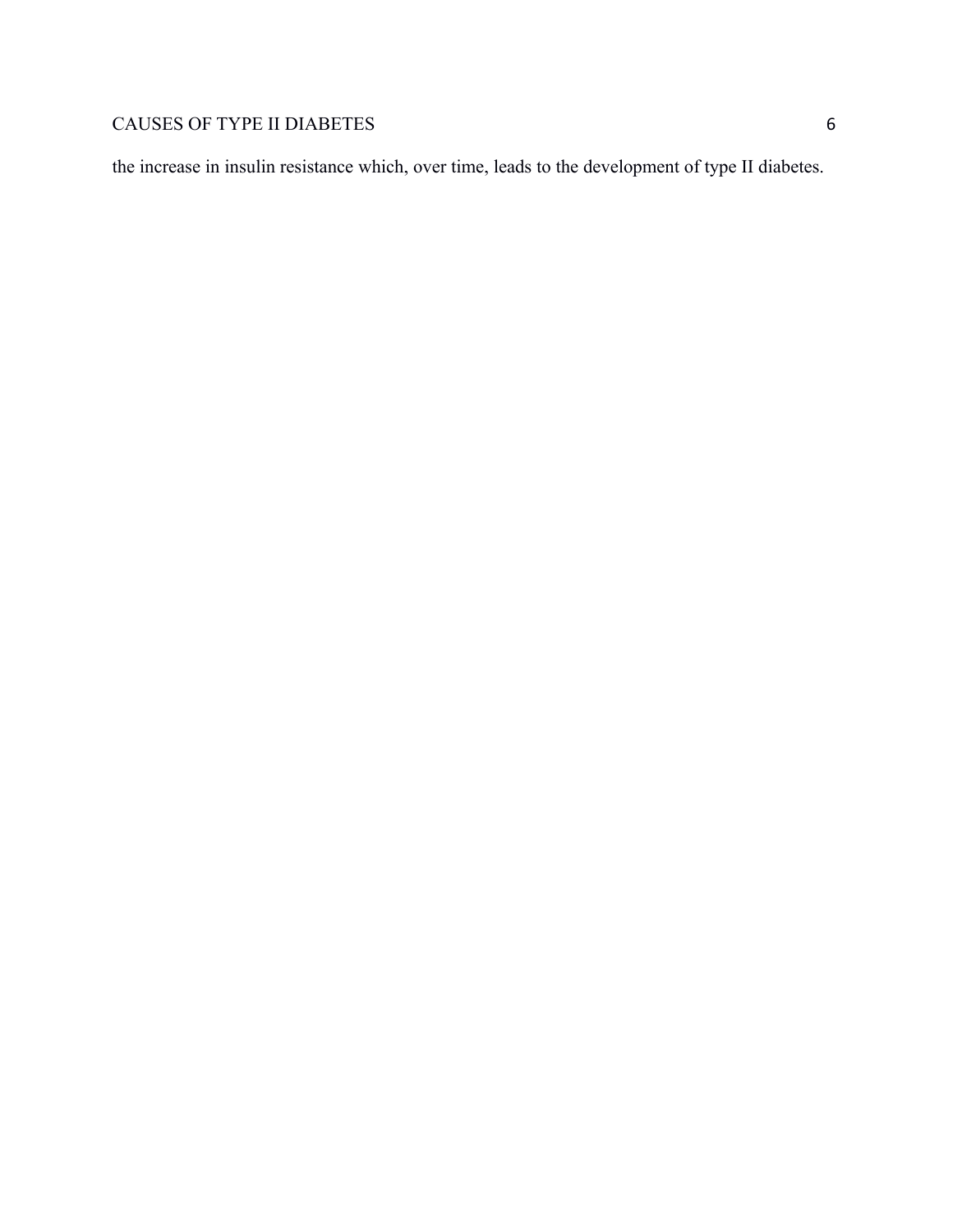the increase in insulin resistance which, over time, leads to the development of type II diabetes.